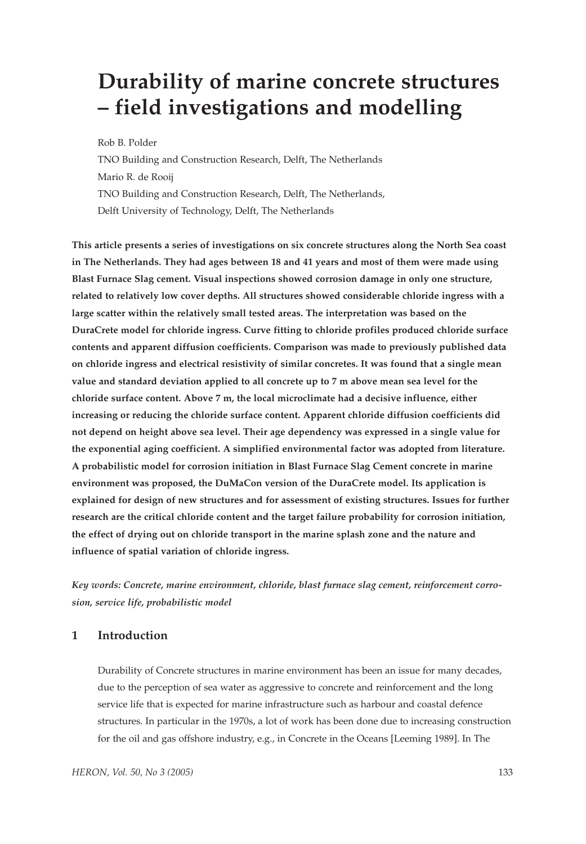# **Durability of marine concrete structures – field investigations and modelling**

Rob B. Polder

TNO Building and Construction Research, Delft, The Netherlands Mario R. de Rooij TNO Building and Construction Research, Delft, The Netherlands, Delft University of Technology, Delft, The Netherlands

**This article presents a series of investigations on six concrete structures along the North Sea coast in The Netherlands. They had ages between 18 and 41 years and most of them were made using Blast Furnace Slag cement. Visual inspections showed corrosion damage in only one structure, related to relatively low cover depths. All structures showed considerable chloride ingress with a large scatter within the relatively small tested areas. The interpretation was based on the DuraCrete model for chloride ingress. Curve fitting to chloride profiles produced chloride surface contents and apparent diffusion coefficients. Comparison was made to previously published data on chloride ingress and electrical resistivity of similar concretes. It was found that a single mean value and standard deviation applied to all concrete up to 7 m above mean sea level for the chloride surface content. Above 7 m, the local microclimate had a decisive influence, either increasing or reducing the chloride surface content. Apparent chloride diffusion coefficients did not depend on height above sea level. Their age dependency was expressed in a single value for the exponential aging coefficient. A simplified environmental factor was adopted from literature. A probabilistic model for corrosion initiation in Blast Furnace Slag Cement concrete in marine environment was proposed, the DuMaCon version of the DuraCrete model. Its application is explained for design of new structures and for assessment of existing structures. Issues for further research are the critical chloride content and the target failure probability for corrosion initiation, the effect of drying out on chloride transport in the marine splash zone and the nature and influence of spatial variation of chloride ingress.**

*Key words: Concrete, marine environment, chloride, blast furnace slag cement, reinforcement corrosion, service life, probabilistic model*

# **1 Introduction**

Durability of Concrete structures in marine environment has been an issue for many decades, due to the perception of sea water as aggressive to concrete and reinforcement and the long service life that is expected for marine infrastructure such as harbour and coastal defence structures. In particular in the 1970s, a lot of work has been done due to increasing construction for the oil and gas offshore industry, e.g., in Concrete in the Oceans [Leeming 1989]. In The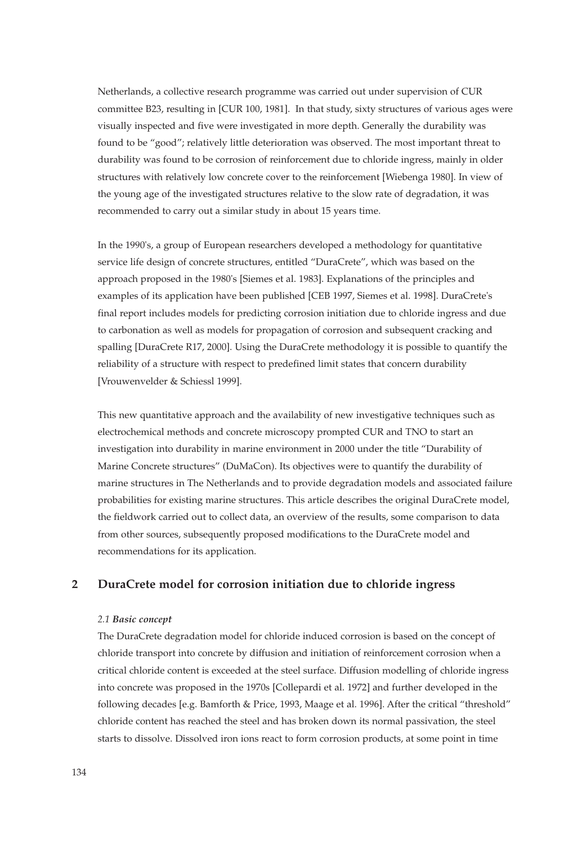Netherlands, a collective research programme was carried out under supervision of CUR committee B23, resulting in [CUR 100, 1981]. In that study, sixty structures of various ages were visually inspected and five were investigated in more depth. Generally the durability was found to be "good"; relatively little deterioration was observed. The most important threat to durability was found to be corrosion of reinforcement due to chloride ingress, mainly in older structures with relatively low concrete cover to the reinforcement [Wiebenga 1980]. In view of the young age of the investigated structures relative to the slow rate of degradation, it was recommended to carry out a similar study in about 15 years time.

In the 1990's, a group of European researchers developed a methodology for quantitative service life design of concrete structures, entitled "DuraCrete", which was based on the approach proposed in the 1980's [Siemes et al. 1983]. Explanations of the principles and examples of its application have been published [CEB 1997, Siemes et al. 1998]. DuraCrete's final report includes models for predicting corrosion initiation due to chloride ingress and due to carbonation as well as models for propagation of corrosion and subsequent cracking and spalling [DuraCrete R17, 2000]. Using the DuraCrete methodology it is possible to quantify the reliability of a structure with respect to predefined limit states that concern durability [Vrouwenvelder & Schiessl 1999].

This new quantitative approach and the availability of new investigative techniques such as electrochemical methods and concrete microscopy prompted CUR and TNO to start an investigation into durability in marine environment in 2000 under the title "Durability of Marine Concrete structures" (DuMaCon). Its objectives were to quantify the durability of marine structures in The Netherlands and to provide degradation models and associated failure probabilities for existing marine structures. This article describes the original DuraCrete model, the fieldwork carried out to collect data, an overview of the results, some comparison to data from other sources, subsequently proposed modifications to the DuraCrete model and recommendations for its application.

# **2 DuraCrete model for corrosion initiation due to chloride ingress**

## *2.1 Basic concept*

The DuraCrete degradation model for chloride induced corrosion is based on the concept of chloride transport into concrete by diffusion and initiation of reinforcement corrosion when a critical chloride content is exceeded at the steel surface. Diffusion modelling of chloride ingress into concrete was proposed in the 1970s [Collepardi et al. 1972] and further developed in the following decades [e.g. Bamforth & Price, 1993, Maage et al. 1996]. After the critical "threshold" chloride content has reached the steel and has broken down its normal passivation, the steel starts to dissolve. Dissolved iron ions react to form corrosion products, at some point in time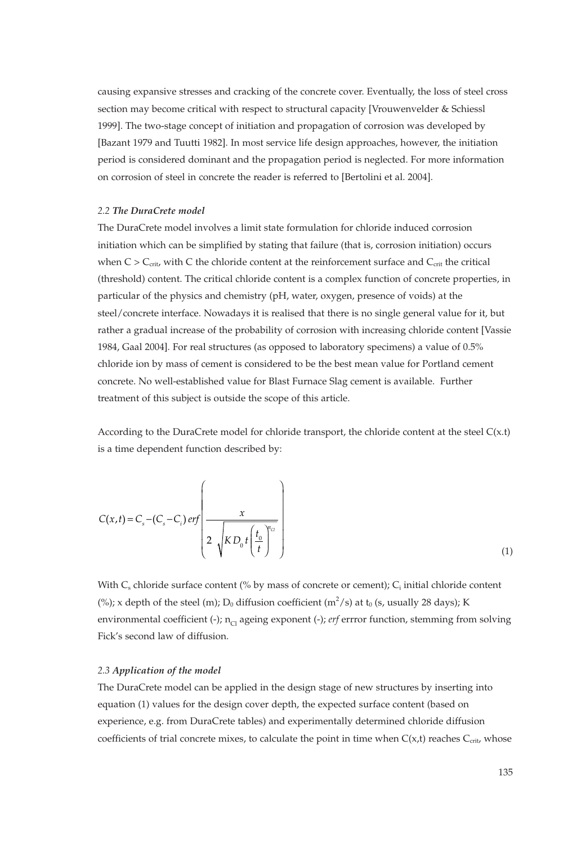causing expansive stresses and cracking of the concrete cover. Eventually, the loss of steel cross section may become critical with respect to structural capacity [Vrouwenvelder & Schiessl 1999]. The two-stage concept of initiation and propagation of corrosion was developed by [Bazant 1979 and Tuutti 1982]. In most service life design approaches, however, the initiation period is considered dominant and the propagation period is neglected. For more information on corrosion of steel in concrete the reader is referred to [Bertolini et al. 2004].

## *2.2 The DuraCrete model*

The DuraCrete model involves a limit state formulation for chloride induced corrosion initiation which can be simplified by stating that failure (that is, corrosion initiation) occurs when  $C > C<sub>crit</sub>$  with C the chloride content at the reinforcement surface and  $C<sub>crit</sub>$  the critical (threshold) content. The critical chloride content is a complex function of concrete properties, in particular of the physics and chemistry (pH, water, oxygen, presence of voids) at the steel/concrete interface. Nowadays it is realised that there is no single general value for it, but rather a gradual increase of the probability of corrosion with increasing chloride content [Vassie 1984, Gaal 2004]. For real structures (as opposed to laboratory specimens) a value of 0.5% chloride ion by mass of cement is considered to be the best mean value for Portland cement concrete. No well-established value for Blast Furnace Slag cement is available. Further treatment of this subject is outside the scope of this article.

According to the DuraCrete model for chloride transport, the chloride content at the steel  $C(x.t)$ is a time dependent function described by:

$$
C(x,t) = C_s - (C_s - C_i) \text{ erf} \left( \frac{x}{2 \sqrt{KD_0 t \left(\frac{t_0}{t}\right)^{n_{ci}}}} \right)
$$
\n(1)

With  $C_s$  chloride surface content (% by mass of concrete or cement);  $C_i$  initial chloride content (%); x depth of the steel (m);  $D_0$  diffusion coefficient (m<sup>2</sup>/s) at t<sub>0</sub> (s, usually 28 days); K environmental coefficient (-);  $n_{Cl}$  ageing exponent (-); *erf* errror function, stemming from solving Fick's second law of diffusion.

## *2.3 Application of the model*

The DuraCrete model can be applied in the design stage of new structures by inserting into equation (1) values for the design cover depth, the expected surface content (based on experience, e.g. from DuraCrete tables) and experimentally determined chloride diffusion coefficients of trial concrete mixes, to calculate the point in time when  $C(x,t)$  reaches  $C_{\text{crit}}$  whose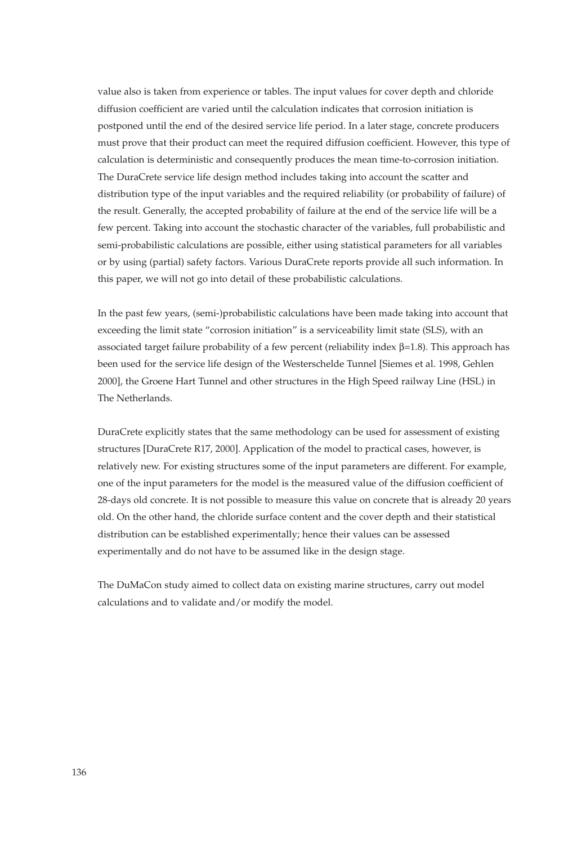value also is taken from experience or tables. The input values for cover depth and chloride diffusion coefficient are varied until the calculation indicates that corrosion initiation is postponed until the end of the desired service life period. In a later stage, concrete producers must prove that their product can meet the required diffusion coefficient. However, this type of calculation is deterministic and consequently produces the mean time-to-corrosion initiation. The DuraCrete service life design method includes taking into account the scatter and distribution type of the input variables and the required reliability (or probability of failure) of the result. Generally, the accepted probability of failure at the end of the service life will be a few percent. Taking into account the stochastic character of the variables, full probabilistic and semi-probabilistic calculations are possible, either using statistical parameters for all variables or by using (partial) safety factors. Various DuraCrete reports provide all such information. In this paper, we will not go into detail of these probabilistic calculations.

In the past few years, (semi-)probabilistic calculations have been made taking into account that exceeding the limit state "corrosion initiation" is a serviceability limit state (SLS), with an associated target failure probability of a few percent (reliability index  $β=1.8$ ). This approach has been used for the service life design of the Westerschelde Tunnel [Siemes et al. 1998, Gehlen 2000], the Groene Hart Tunnel and other structures in the High Speed railway Line (HSL) in The Netherlands.

DuraCrete explicitly states that the same methodology can be used for assessment of existing structures [DuraCrete R17, 2000]. Application of the model to practical cases, however, is relatively new. For existing structures some of the input parameters are different. For example, one of the input parameters for the model is the measured value of the diffusion coefficient of 28-days old concrete. It is not possible to measure this value on concrete that is already 20 years old. On the other hand, the chloride surface content and the cover depth and their statistical distribution can be established experimentally; hence their values can be assessed experimentally and do not have to be assumed like in the design stage.

The DuMaCon study aimed to collect data on existing marine structures, carry out model calculations and to validate and/or modify the model.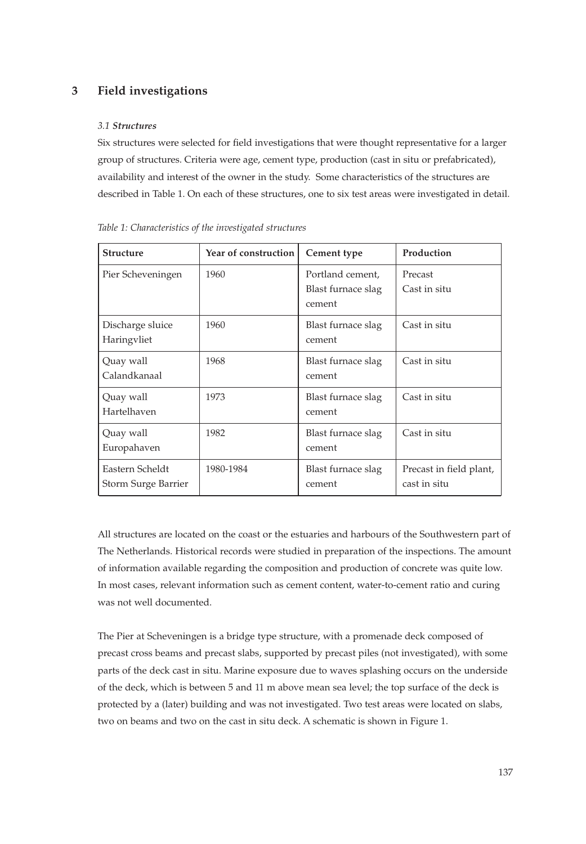# **3 Field investigations**

## *3.1 Structures*

Six structures were selected for field investigations that were thought representative for a larger group of structures. Criteria were age, cement type, production (cast in situ or prefabricated), availability and interest of the owner in the study. Some characteristics of the structures are described in Table 1. On each of these structures, one to six test areas were investigated in detail.

| <b>Structure</b>                       | Year of construction | Cement type                                      | Production                              |  |
|----------------------------------------|----------------------|--------------------------------------------------|-----------------------------------------|--|
| Pier Scheveningen                      | 1960                 | Portland cement,<br>Blast furnace slag<br>cement | Precast<br>Cast in situ                 |  |
| Discharge sluice<br>Haringvliet        | 1960                 | Blast furnace slag<br>cement                     | Cast in situ                            |  |
| Quay wall<br>Calandkanaal              | 1968                 | Blast furnace slag<br>cement                     | Cast in situ                            |  |
| Quay wall<br>Hartelhaven               | 1973                 | Blast furnace slag<br>cement                     | Cast in situ                            |  |
| Quay wall<br>Europahaven               | 1982                 | Blast furnace slag<br>cement                     | Cast in situ                            |  |
| Eastern Scheldt<br>Storm Surge Barrier | 1980-1984            | Blast furnace slag<br>cement                     | Precast in field plant,<br>cast in situ |  |

*Table 1: Characteristics of the investigated structures*

All structures are located on the coast or the estuaries and harbours of the Southwestern part of The Netherlands. Historical records were studied in preparation of the inspections. The amount of information available regarding the composition and production of concrete was quite low. In most cases, relevant information such as cement content, water-to-cement ratio and curing was not well documented.

The Pier at Scheveningen is a bridge type structure, with a promenade deck composed of precast cross beams and precast slabs, supported by precast piles (not investigated), with some parts of the deck cast in situ. Marine exposure due to waves splashing occurs on the underside of the deck, which is between 5 and 11 m above mean sea level; the top surface of the deck is protected by a (later) building and was not investigated. Two test areas were located on slabs, two on beams and two on the cast in situ deck. A schematic is shown in Figure 1.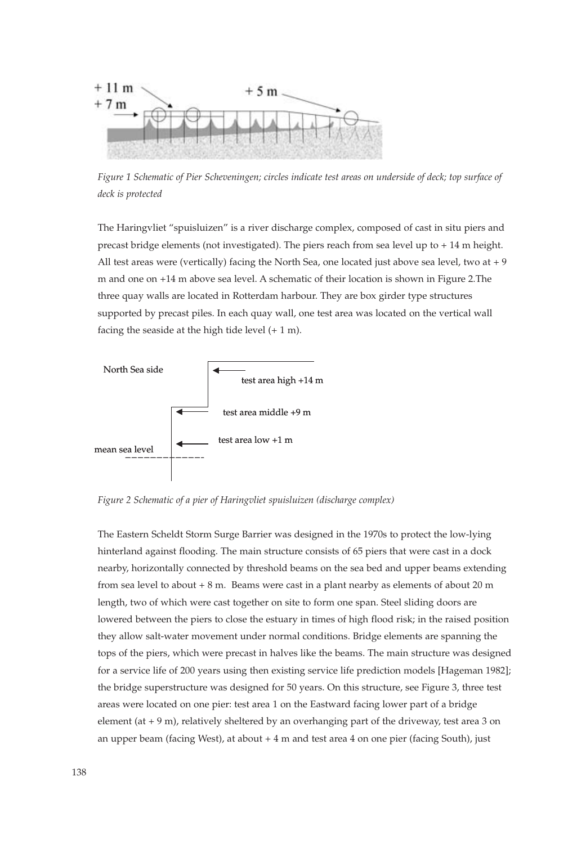

*Figure 1 Schematic of Pier Scheveningen; circles indicate test areas on underside of deck; top surface of deck is protected*

The Haringvliet "spuisluizen" is a river discharge complex, composed of cast in situ piers and precast bridge elements (not investigated). The piers reach from sea level up to + 14 m height. All test areas were (vertically) facing the North Sea, one located just above sea level, two at + 9 m and one on +14 m above sea level. A schematic of their location is shown in Figure 2.The three quay walls are located in Rotterdam harbour. They are box girder type structures supported by precast piles. In each quay wall, one test area was located on the vertical wall facing the seaside at the high tide level  $(+ 1 m)$ .



*Figure 2 Schematic of a pier of Haringvliet spuisluizen (discharge complex)*

The Eastern Scheldt Storm Surge Barrier was designed in the 1970s to protect the low-lying hinterland against flooding. The main structure consists of 65 piers that were cast in a dock nearby, horizontally connected by threshold beams on the sea bed and upper beams extending from sea level to about  $+ 8$  m. Beams were cast in a plant nearby as elements of about 20 m length, two of which were cast together on site to form one span. Steel sliding doors are lowered between the piers to close the estuary in times of high flood risk; in the raised position they allow salt-water movement under normal conditions. Bridge elements are spanning the tops of the piers, which were precast in halves like the beams. The main structure was designed for a service life of 200 years using then existing service life prediction models [Hageman 1982]; the bridge superstructure was designed for 50 years. On this structure, see Figure 3, three test areas were located on one pier: test area 1 on the Eastward facing lower part of a bridge element (at + 9 m), relatively sheltered by an overhanging part of the driveway, test area 3 on an upper beam (facing West), at about  $+4$  m and test area  $4$  on one pier (facing South), just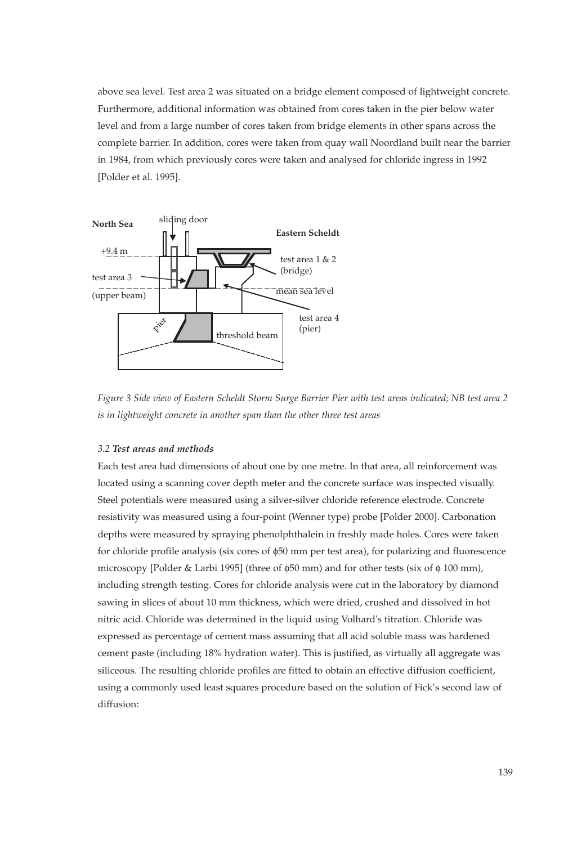above sea level. Test area 2 was situated on a bridge element composed of lightweight concrete. Furthermore, additional information was obtained from cores taken in the pier below water level and from a large number of cores taken from bridge elements in other spans across the complete barrier. In addition, cores were taken from quay wall Noordland built near the barrier in 1984, from which previously cores were taken and analysed for chloride ingress in 1992 [Polder et al. 1995].



*Figure 3 Side view of Eastern Scheldt Storm Surge Barrier Pier with test areas indicated; NB test area 2 is in lightweight concrete in another span than the other three test areas*

## *3.2 Test areas and methods*

Each test area had dimensions of about one by one metre. In that area, all reinforcement was located using a scanning cover depth meter and the concrete surface was inspected visually. Steel potentials were measured using a silver-silver chloride reference electrode. Concrete resistivity was measured using a four-point (Wenner type) probe [Polder 2000]. Carbonation depths were measured by spraying phenolphthalein in freshly made holes. Cores were taken for chloride profile analysis (six cores of φ50 mm per test area), for polarizing and fluorescence microscopy [Polder & Larbi 1995] (three of  $\phi$ 50 mm) and for other tests (six of  $\phi$  100 mm), including strength testing. Cores for chloride analysis were cut in the laboratory by diamond sawing in slices of about 10 mm thickness, which were dried, crushed and dissolved in hot nitric acid. Chloride was determined in the liquid using Volhard's titration. Chloride was expressed as percentage of cement mass assuming that all acid soluble mass was hardened cement paste (including 18% hydration water). This is justified, as virtually all aggregate was siliceous. The resulting chloride profiles are fitted to obtain an effective diffusion coefficient, using a commonly used least squares procedure based on the solution of Fick's second law of diffusion: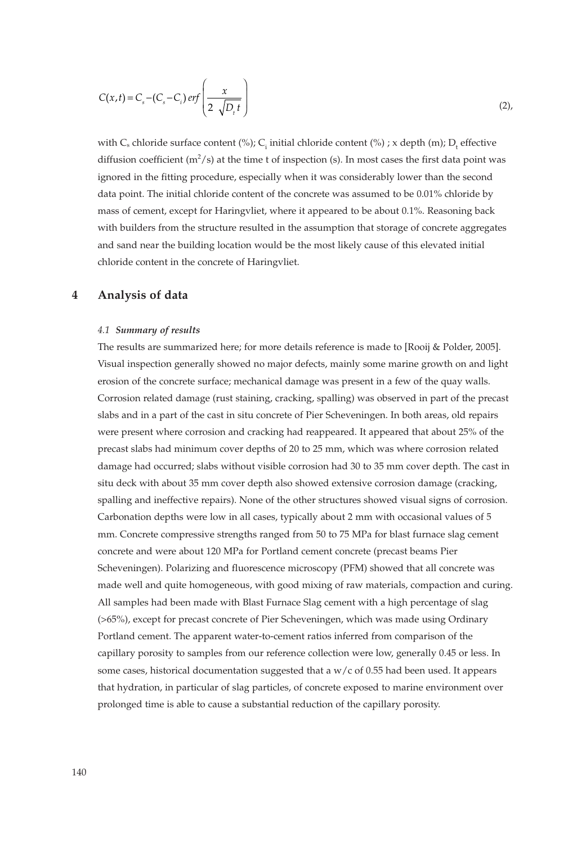$$
C(x,t) = Cs - (Cs - Ci) erf\left(\frac{x}{2\sqrt{D_t}t}\right)
$$
 (2),

with  $C_s$  chloride surface content (%);  $C_i$  initial chloride content (%); x depth (m);  $D_t$  effective diffusion coefficient (m<sup>2</sup>/s) at the time t of inspection (s). In most cases the first data point was ignored in the fitting procedure, especially when it was considerably lower than the second data point. The initial chloride content of the concrete was assumed to be 0.01% chloride by mass of cement, except for Haringvliet, where it appeared to be about 0.1%. Reasoning back with builders from the structure resulted in the assumption that storage of concrete aggregates and sand near the building location would be the most likely cause of this elevated initial chloride content in the concrete of Haringvliet.

## **4 Analysis of data**

#### *4.1 Summary of results*

The results are summarized here; for more details reference is made to [Rooij & Polder, 2005]. Visual inspection generally showed no major defects, mainly some marine growth on and light erosion of the concrete surface; mechanical damage was present in a few of the quay walls. Corrosion related damage (rust staining, cracking, spalling) was observed in part of the precast slabs and in a part of the cast in situ concrete of Pier Scheveningen. In both areas, old repairs were present where corrosion and cracking had reappeared. It appeared that about 25% of the precast slabs had minimum cover depths of 20 to 25 mm, which was where corrosion related damage had occurred; slabs without visible corrosion had 30 to 35 mm cover depth. The cast in situ deck with about 35 mm cover depth also showed extensive corrosion damage (cracking, spalling and ineffective repairs). None of the other structures showed visual signs of corrosion. Carbonation depths were low in all cases, typically about 2 mm with occasional values of 5 mm. Concrete compressive strengths ranged from 50 to 75 MPa for blast furnace slag cement concrete and were about 120 MPa for Portland cement concrete (precast beams Pier Scheveningen). Polarizing and fluorescence microscopy (PFM) showed that all concrete was made well and quite homogeneous, with good mixing of raw materials, compaction and curing. All samples had been made with Blast Furnace Slag cement with a high percentage of slag (>65%), except for precast concrete of Pier Scheveningen, which was made using Ordinary Portland cement. The apparent water-to-cement ratios inferred from comparison of the capillary porosity to samples from our reference collection were low, generally 0.45 or less. In some cases, historical documentation suggested that a  $w/c$  of 0.55 had been used. It appears that hydration, in particular of slag particles, of concrete exposed to marine environment over prolonged time is able to cause a substantial reduction of the capillary porosity.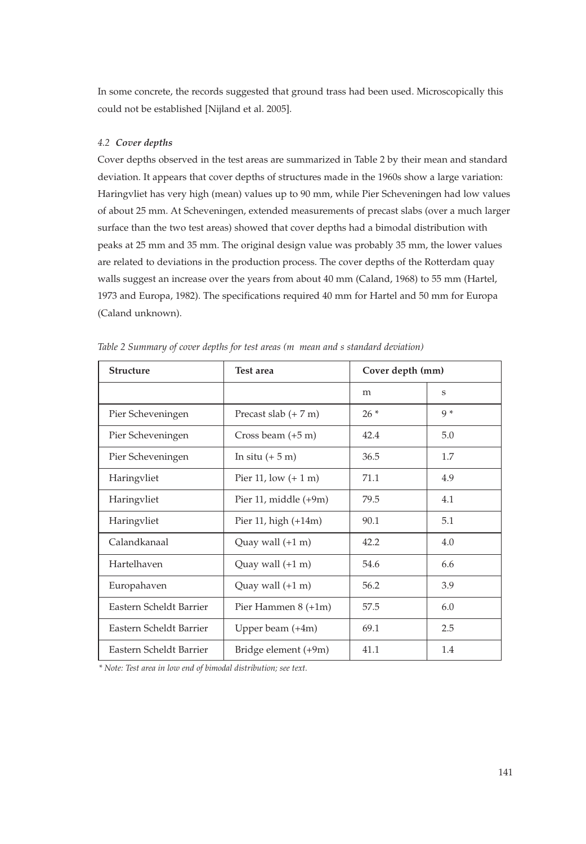In some concrete, the records suggested that ground trass had been used. Microscopically this could not be established [Nijland et al. 2005].

## *4.2 Cover depths*

Cover depths observed in the test areas are summarized in Table 2 by their mean and standard deviation. It appears that cover depths of structures made in the 1960s show a large variation: Haringvliet has very high (mean) values up to 90 mm, while Pier Scheveningen had low values of about 25 mm. At Scheveningen, extended measurements of precast slabs (over a much larger surface than the two test areas) showed that cover depths had a bimodal distribution with peaks at 25 mm and 35 mm. The original design value was probably 35 mm, the lower values are related to deviations in the production process. The cover depths of the Rotterdam quay walls suggest an increase over the years from about 40 mm (Caland, 1968) to 55 mm (Hartel, 1973 and Europa, 1982). The specifications required 40 mm for Hartel and 50 mm for Europa (Caland unknown).

| <b>Structure</b>        | Test area                      | Cover depth (mm) |       |
|-------------------------|--------------------------------|------------------|-------|
|                         |                                | m                | S     |
| Pier Scheveningen       | Precast slab $(+ 7 \text{ m})$ | $26*$            | $Q *$ |
| Pier Scheveningen       | Cross beam $(+5 \text{ m})$    | 42.4             | 5.0   |
| Pier Scheveningen       | In situ $(+ 5 m)$              | 36.5             | 1.7   |
| Haringvliet             | Pier 11, low $(+ 1 m)$         | 71.1             | 4.9   |
| Haringvliet             | Pier 11, middle $(+9m)$        | 79.5             | 4.1   |
| Haringvliet             | Pier 11, high $(+14m)$         | 90.1             | 5.1   |
| Calandkanaal            | Quay wall $(+1 \text{ m})$     | 42.2             | 4.0   |
| Hartelhaven             | Quay wall $(+1 \text{ m})$     | 54.6             | 6.6   |
| Europahaven             | Quay wall $(+1 \text{ m})$     | 56.2             | 3.9   |
| Eastern Scheldt Barrier | Pier Hammen 8 (+1m)            | 57.5             | 6.0   |
| Eastern Scheldt Barrier | Upper beam $(+4m)$             | 69.1             | 2.5   |
| Eastern Scheldt Barrier | Bridge element (+9m)           | 41.1             | 1.4   |

*Table 2 Summary of cover depths for test areas (m mean and s standard deviation)*

*\* Note: Test area in low end of bimodal distribution; see text.*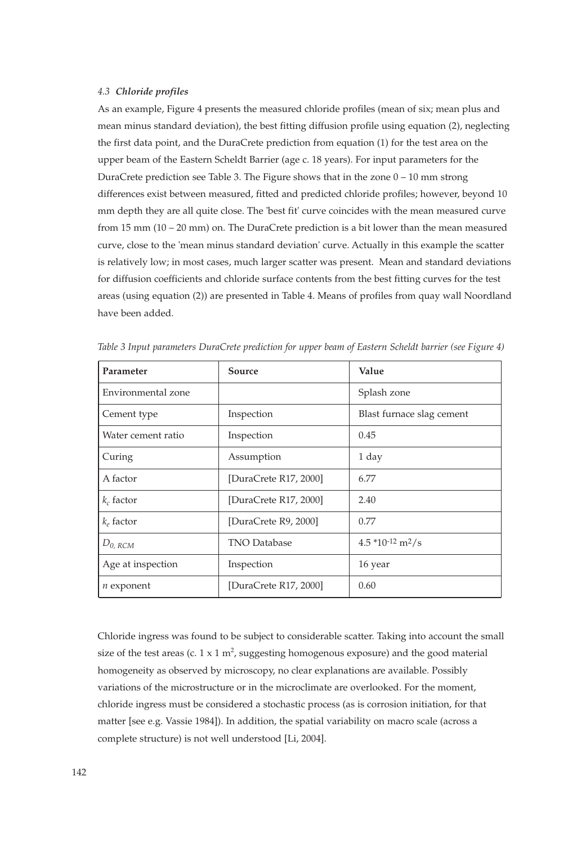## *4.3 Chloride profiles*

As an example, Figure 4 presents the measured chloride profiles (mean of six; mean plus and mean minus standard deviation), the best fitting diffusion profile using equation (2), neglecting the first data point, and the DuraCrete prediction from equation (1) for the test area on the upper beam of the Eastern Scheldt Barrier (age c. 18 years). For input parameters for the DuraCrete prediction see Table 3. The Figure shows that in the zone  $0 - 10$  mm strong differences exist between measured, fitted and predicted chloride profiles; however, beyond 10 mm depth they are all quite close. The 'best fit' curve coincides with the mean measured curve from 15 mm (10 – 20 mm) on. The DuraCrete prediction is a bit lower than the mean measured curve, close to the 'mean minus standard deviation' curve. Actually in this example the scatter is relatively low; in most cases, much larger scatter was present. Mean and standard deviations for diffusion coefficients and chloride surface contents from the best fitting curves for the test areas (using equation (2)) are presented in Table 4. Means of profiles from quay wall Noordland have been added.

| Parameter          | Source                | Value                     |  |
|--------------------|-----------------------|---------------------------|--|
| Environmental zone |                       | Splash zone               |  |
| Cement type        | Inspection            | Blast furnace slag cement |  |
| Water cement ratio | Inspection            | 0.45                      |  |
| Curing             | Assumption            | 1 day                     |  |
| A factor           | [DuraCrete R17, 2000] | 6.77                      |  |
| $k_c$ factor       | [DuraCrete R17, 2000] | 2.40                      |  |
| $k_e$ factor       | [DuraCrete R9, 2000]  | 0.77                      |  |
| $D_{0,RCM}$        | <b>TNO Database</b>   | $4.5*10-12 m2/s$          |  |
| Age at inspection  | Inspection            | 16 year                   |  |
| $n$ exponent       | [DuraCrete R17, 2000] | 0.60                      |  |

*Table 3 Input parameters DuraCrete prediction for upper beam of Eastern Scheldt barrier (see Figure 4)*

Chloride ingress was found to be subject to considerable scatter. Taking into account the small size of the test areas (c.  $1 \times 1$  m<sup>2</sup>, suggesting homogenous exposure) and the good material homogeneity as observed by microscopy, no clear explanations are available. Possibly variations of the microstructure or in the microclimate are overlooked. For the moment, chloride ingress must be considered a stochastic process (as is corrosion initiation, for that matter [see e.g. Vassie 1984]). In addition, the spatial variability on macro scale (across a complete structure) is not well understood [Li, 2004].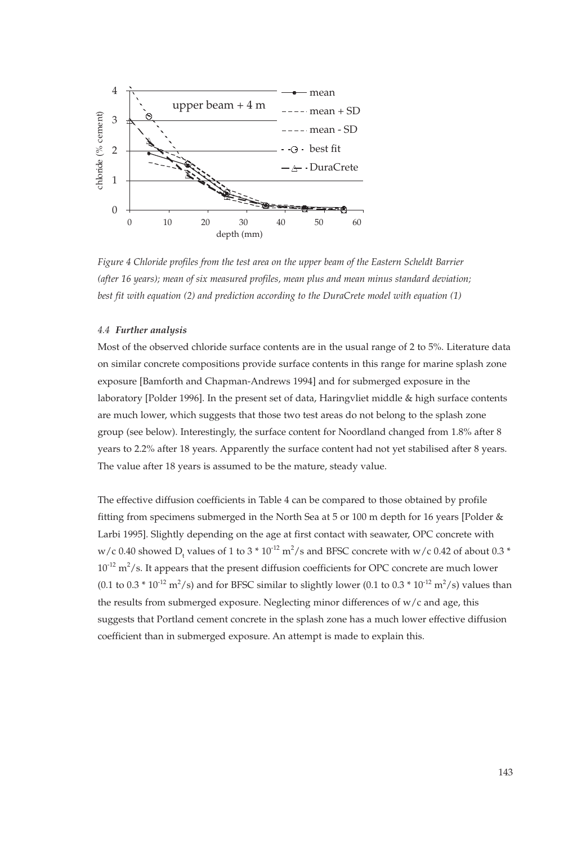

*Figure 4 Chloride profiles from the test area on the upper beam of the Eastern Scheldt Barrier (after 16 years); mean of six measured profiles, mean plus and mean minus standard deviation; best fit with equation (2) and prediction according to the DuraCrete model with equation (1)*

## *4.4 Further analysis*

Most of the observed chloride surface contents are in the usual range of 2 to 5%. Literature data on similar concrete compositions provide surface contents in this range for marine splash zone exposure [Bamforth and Chapman-Andrews 1994] and for submerged exposure in the laboratory [Polder 1996]. In the present set of data, Haringvliet middle & high surface contents are much lower, which suggests that those two test areas do not belong to the splash zone group (see below). Interestingly, the surface content for Noordland changed from 1.8% after 8 years to 2.2% after 18 years. Apparently the surface content had not yet stabilised after 8 years. The value after 18 years is assumed to be the mature, steady value.

The effective diffusion coefficients in Table 4 can be compared to those obtained by profile fitting from specimens submerged in the North Sea at 5 or 100 m depth for 16 years [Polder & Larbi 1995]. Slightly depending on the age at first contact with seawater, OPC concrete with w/c 0.40 showed  $D_t$  values of 1 to 3  $*$  10<sup>-12</sup> m<sup>2</sup>/s and BFSC concrete with w/c 0.42 of about 0.3  $*$  $10^{-12}$  m<sup>2</sup>/s. It appears that the present diffusion coefficients for OPC concrete are much lower (0.1 to 0.3  $*$  10<sup>-12</sup> m<sup>2</sup>/s) and for BFSC similar to slightly lower (0.1 to 0.3  $*$  10<sup>-12</sup> m<sup>2</sup>/s) values than the results from submerged exposure. Neglecting minor differences of w/c and age, this suggests that Portland cement concrete in the splash zone has a much lower effective diffusion coefficient than in submerged exposure. An attempt is made to explain this.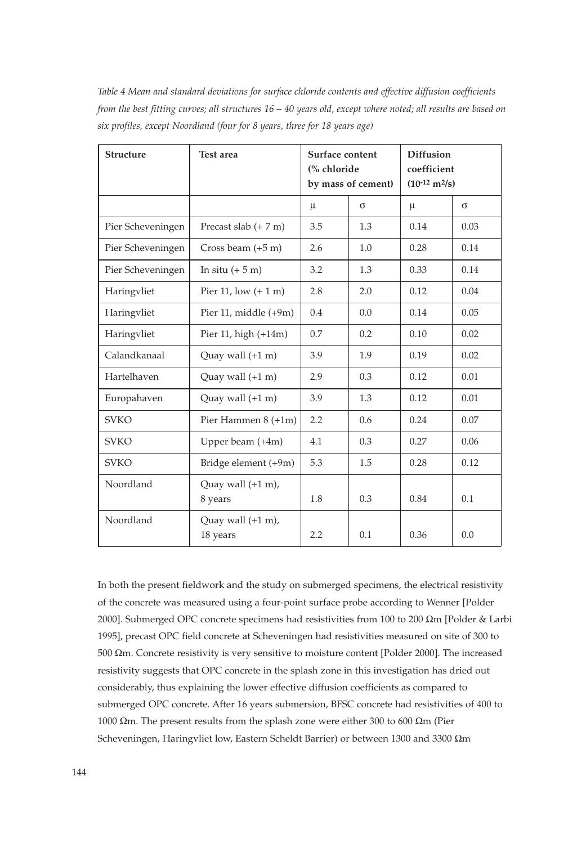*Table 4 Mean and standard deviations for surface chloride contents and effective diffusion coefficients from the best fitting curves; all structures 16 – 40 years old, except where noted; all results are based on six profiles, except Noordland (four for 8 years, three for 18 years age)*

| <b>Structure</b>  | Test area                                | Surface content<br>(% chloride<br>by mass of cement) |     | <b>Diffusion</b><br>coefficient<br>$(10^{-12} \text{ m}^2/\text{s})$ |      |
|-------------------|------------------------------------------|------------------------------------------------------|-----|----------------------------------------------------------------------|------|
|                   |                                          | μ                                                    | σ   | μ                                                                    | σ    |
| Pier Scheveningen | Precast slab $(+ 7 m)$                   | 3.5                                                  | 1.3 | 0.14                                                                 | 0.03 |
| Pier Scheveningen | Cross beam $(+5 \text{ m})$              | 2.6                                                  | 1.0 | 0.28                                                                 | 0.14 |
| Pier Scheveningen | In situ $(+ 5 m)$                        | 3.2                                                  | 1.3 | 0.33                                                                 | 0.14 |
| Haringvliet       | Pier 11, low $(+ 1 m)$                   | 2.8                                                  | 2.0 | 0.12                                                                 | 0.04 |
| Haringvliet       | Pier 11, middle $(+9m)$                  | 0.4                                                  | 0.0 | 0.14                                                                 | 0.05 |
| Haringvliet       | Pier 11, high $(+14m)$                   | 0.7                                                  | 0.2 | 0.10                                                                 | 0.02 |
| Calandkanaal      | Quay wall $(+1 \text{ m})$               | 3.9                                                  | 1.9 | 0.19                                                                 | 0.02 |
| Hartelhaven       | Quay wall $(+1 \text{ m})$               | 2.9                                                  | 0.3 | 0.12                                                                 | 0.01 |
| Europahaven       | Quay wall $(+1 \text{ m})$               | 3.9                                                  | 1.3 | 0.12                                                                 | 0.01 |
| <b>SVKO</b>       | Pier Hammen 8 (+1m)                      | 2.2                                                  | 0.6 | 0.24                                                                 | 0.07 |
| <b>SVKO</b>       | Upper beam $(+4m)$                       | 4.1                                                  | 0.3 | 0.27                                                                 | 0.06 |
| <b>SVKO</b>       | Bridge element (+9m)                     | 5.3                                                  | 1.5 | 0.28                                                                 | 0.12 |
| Noordland         | Quay wall $(+1 \text{ m})$ ,<br>8 years  | 1.8                                                  | 0.3 | 0.84                                                                 | 0.1  |
| Noordland         | Quay wall $(+1 \text{ m})$ ,<br>18 years | 2.2                                                  | 0.1 | 0.36                                                                 | 0.0  |

In both the present fieldwork and the study on submerged specimens, the electrical resistivity of the concrete was measured using a four-point surface probe according to Wenner [Polder 2000]. Submerged OPC concrete specimens had resistivities from 100 to 200 Ωm [Polder & Larbi 1995], precast OPC field concrete at Scheveningen had resistivities measured on site of 300 to 500 Ωm. Concrete resistivity is very sensitive to moisture content [Polder 2000]. The increased resistivity suggests that OPC concrete in the splash zone in this investigation has dried out considerably, thus explaining the lower effective diffusion coefficients as compared to submerged OPC concrete. After 16 years submersion, BFSC concrete had resistivities of 400 to 1000 Ωm. The present results from the splash zone were either 300 to 600 Ωm (Pier Scheveningen, Haringvliet low, Eastern Scheldt Barrier) or between 1300 and 3300 Ωm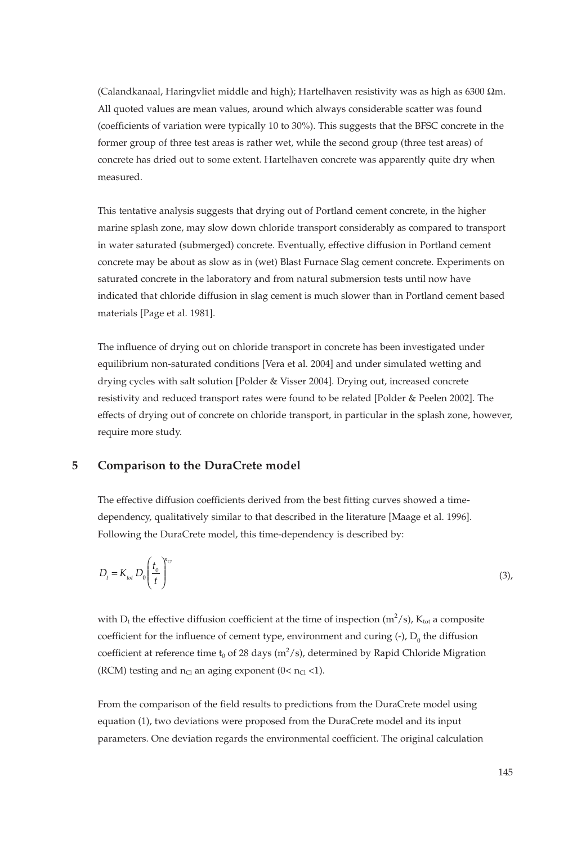(Calandkanaal, Haringvliet middle and high); Hartelhaven resistivity was as high as 6300 Ωm. All quoted values are mean values, around which always considerable scatter was found (coefficients of variation were typically 10 to 30%). This suggests that the BFSC concrete in the former group of three test areas is rather wet, while the second group (three test areas) of concrete has dried out to some extent. Hartelhaven concrete was apparently quite dry when measured.

This tentative analysis suggests that drying out of Portland cement concrete, in the higher marine splash zone, may slow down chloride transport considerably as compared to transport in water saturated (submerged) concrete. Eventually, effective diffusion in Portland cement concrete may be about as slow as in (wet) Blast Furnace Slag cement concrete. Experiments on saturated concrete in the laboratory and from natural submersion tests until now have indicated that chloride diffusion in slag cement is much slower than in Portland cement based materials [Page et al. 1981].

The influence of drying out on chloride transport in concrete has been investigated under equilibrium non-saturated conditions [Vera et al. 2004] and under simulated wetting and drying cycles with salt solution [Polder & Visser 2004]. Drying out, increased concrete resistivity and reduced transport rates were found to be related [Polder & Peelen 2002]. The effects of drying out of concrete on chloride transport, in particular in the splash zone, however, require more study.

## **5 Comparison to the DuraCrete model**

The effective diffusion coefficients derived from the best fitting curves showed a timedependency, qualitatively similar to that described in the literature [Maage et al. 1996]. Following the DuraCrete model, this time-dependency is described by:

$$
D_t = K_{tot} D_0 \left(\frac{t_0}{t}\right)^{n_{ci}} \tag{3}
$$

with D<sub>t</sub> the effective diffusion coefficient at the time of inspection (m<sup>2</sup>/s), K<sub>tot</sub> a composite coefficient for the influence of cement type, environment and curing  $(-)$ ,  $D_0$  the diffusion coefficient at reference time t<sub>0</sub> of 28 days (m<sup>2</sup>/s), determined by Rapid Chloride Migration (RCM) testing and  $n_{Cl}$  an aging exponent (0<  $n_{Cl}$  <1).

From the comparison of the field results to predictions from the DuraCrete model using equation (1), two deviations were proposed from the DuraCrete model and its input parameters. One deviation regards the environmental coefficient. The original calculation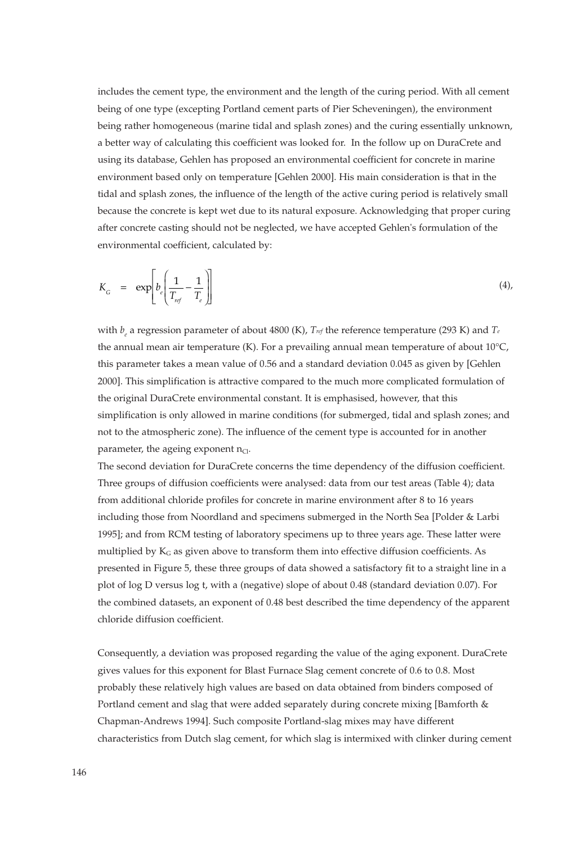includes the cement type, the environment and the length of the curing period. With all cement being of one type (excepting Portland cement parts of Pier Scheveningen), the environment being rather homogeneous (marine tidal and splash zones) and the curing essentially unknown, a better way of calculating this coefficient was looked for. In the follow up on DuraCrete and using its database, Gehlen has proposed an environmental coefficient for concrete in marine environment based only on temperature [Gehlen 2000]. His main consideration is that in the tidal and splash zones, the influence of the length of the active curing period is relatively small because the concrete is kept wet due to its natural exposure. Acknowledging that proper curing after concrete casting should not be neglected, we have accepted Gehlen's formulation of the environmental coefficient, calculated by:

$$
K_{\rm G} = \exp\left[b_c \left(\frac{1}{T_{\rm ref}} - \frac{1}{T_c}\right)\right]
$$
 (4),

with  $b_{\rho}$  a regression parameter of about 4800 (K),  $Tr_{cf}$  the reference temperature (293 K) and  $Tr_{cf}$ the annual mean air temperature (K). For a prevailing annual mean temperature of about  $10^{\circ}C$ , this parameter takes a mean value of 0.56 and a standard deviation 0.045 as given by [Gehlen 2000]. This simplification is attractive compared to the much more complicated formulation of the original DuraCrete environmental constant. It is emphasised, however, that this simplification is only allowed in marine conditions (for submerged, tidal and splash zones; and not to the atmospheric zone). The influence of the cement type is accounted for in another parameter, the ageing exponent  $n_{Cl}$ .

The second deviation for DuraCrete concerns the time dependency of the diffusion coefficient. Three groups of diffusion coefficients were analysed: data from our test areas (Table 4); data from additional chloride profiles for concrete in marine environment after 8 to 16 years including those from Noordland and specimens submerged in the North Sea [Polder & Larbi 1995]; and from RCM testing of laboratory specimens up to three years age. These latter were multiplied by  $K_G$  as given above to transform them into effective diffusion coefficients. As presented in Figure 5, these three groups of data showed a satisfactory fit to a straight line in a plot of log D versus log t, with a (negative) slope of about 0.48 (standard deviation 0.07). For the combined datasets, an exponent of 0.48 best described the time dependency of the apparent chloride diffusion coefficient.

Consequently, a deviation was proposed regarding the value of the aging exponent. DuraCrete gives values for this exponent for Blast Furnace Slag cement concrete of 0.6 to 0.8. Most probably these relatively high values are based on data obtained from binders composed of Portland cement and slag that were added separately during concrete mixing [Bamforth & Chapman-Andrews 1994]. Such composite Portland-slag mixes may have different characteristics from Dutch slag cement, for which slag is intermixed with clinker during cement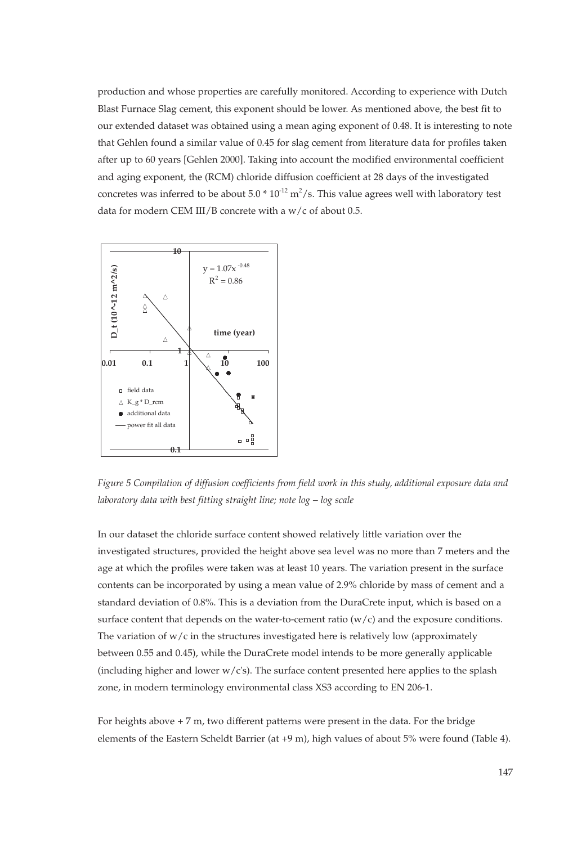production and whose properties are carefully monitored. According to experience with Dutch Blast Furnace Slag cement, this exponent should be lower. As mentioned above, the best fit to our extended dataset was obtained using a mean aging exponent of 0.48. It is interesting to note that Gehlen found a similar value of 0.45 for slag cement from literature data for profiles taken after up to 60 years [Gehlen 2000]. Taking into account the modified environmental coefficient and aging exponent, the (RCM) chloride diffusion coefficient at 28 days of the investigated concretes was inferred to be about  $5.0 * 10^{-12}$  m<sup>2</sup>/s. This value agrees well with laboratory test data for modern CEM III/B concrete with a  $w/c$  of about 0.5.



*Figure 5 Compilation of diffusion coefficients from field work in this study, additional exposure data and laboratory data with best fitting straight line; note log – log scale*

In our dataset the chloride surface content showed relatively little variation over the investigated structures, provided the height above sea level was no more than 7 meters and the age at which the profiles were taken was at least 10 years. The variation present in the surface contents can be incorporated by using a mean value of 2.9% chloride by mass of cement and a standard deviation of 0.8%. This is a deviation from the DuraCrete input, which is based on a surface content that depends on the water-to-cement ratio ( $w/c$ ) and the exposure conditions. The variation of  $w/c$  in the structures investigated here is relatively low (approximately between 0.55 and 0.45), while the DuraCrete model intends to be more generally applicable (including higher and lower  $w/c$ 's). The surface content presented here applies to the splash zone, in modern terminology environmental class XS3 according to EN 206-1.

For heights above  $+7$  m, two different patterns were present in the data. For the bridge elements of the Eastern Scheldt Barrier (at +9 m), high values of about 5% were found (Table 4).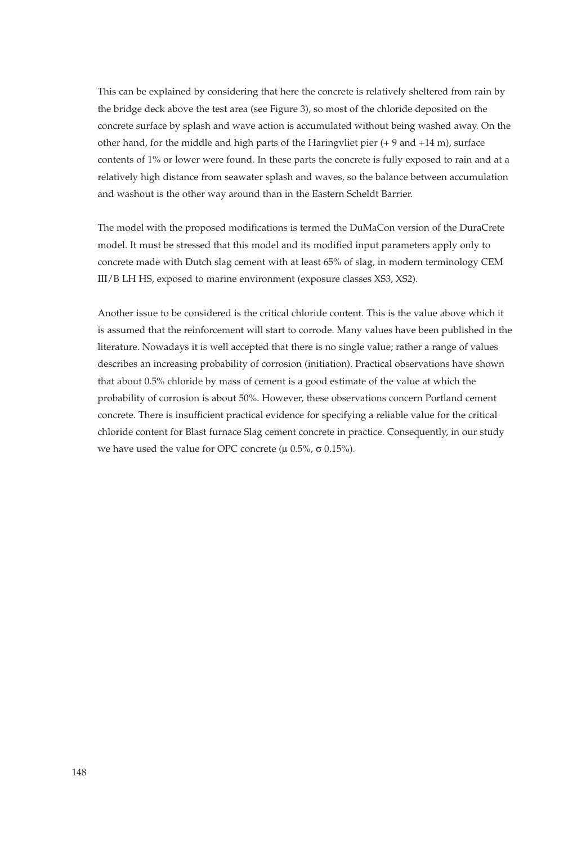This can be explained by considering that here the concrete is relatively sheltered from rain by the bridge deck above the test area (see Figure 3), so most of the chloride deposited on the concrete surface by splash and wave action is accumulated without being washed away. On the other hand, for the middle and high parts of the Haringvliet pier (+ 9 and +14 m), surface contents of 1% or lower were found. In these parts the concrete is fully exposed to rain and at a relatively high distance from seawater splash and waves, so the balance between accumulation and washout is the other way around than in the Eastern Scheldt Barrier.

The model with the proposed modifications is termed the DuMaCon version of the DuraCrete model. It must be stressed that this model and its modified input parameters apply only to concrete made with Dutch slag cement with at least 65% of slag, in modern terminology CEM III/B LH HS, exposed to marine environment (exposure classes XS3, XS2).

Another issue to be considered is the critical chloride content. This is the value above which it is assumed that the reinforcement will start to corrode. Many values have been published in the literature. Nowadays it is well accepted that there is no single value; rather a range of values describes an increasing probability of corrosion (initiation). Practical observations have shown that about 0.5% chloride by mass of cement is a good estimate of the value at which the probability of corrosion is about 50%. However, these observations concern Portland cement concrete. There is insufficient practical evidence for specifying a reliable value for the critical chloride content for Blast furnace Slag cement concrete in practice. Consequently, in our study we have used the value for OPC concrete (μ  $0.5\%$ , σ  $0.15\%$ ).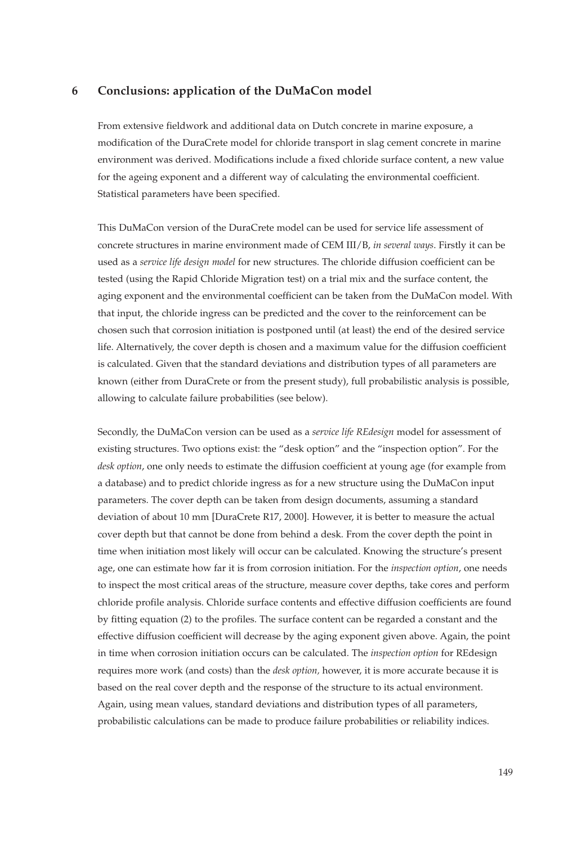## **6 Conclusions: application of the DuMaCon model**

From extensive fieldwork and additional data on Dutch concrete in marine exposure, a modification of the DuraCrete model for chloride transport in slag cement concrete in marine environment was derived. Modifications include a fixed chloride surface content, a new value for the ageing exponent and a different way of calculating the environmental coefficient. Statistical parameters have been specified.

This DuMaCon version of the DuraCrete model can be used for service life assessment of concrete structures in marine environment made of CEM III/B, *in several ways*. Firstly it can be used as a *service life design model* for new structures. The chloride diffusion coefficient can be tested (using the Rapid Chloride Migration test) on a trial mix and the surface content, the aging exponent and the environmental coefficient can be taken from the DuMaCon model. With that input, the chloride ingress can be predicted and the cover to the reinforcement can be chosen such that corrosion initiation is postponed until (at least) the end of the desired service life. Alternatively, the cover depth is chosen and a maximum value for the diffusion coefficient is calculated. Given that the standard deviations and distribution types of all parameters are known (either from DuraCrete or from the present study), full probabilistic analysis is possible, allowing to calculate failure probabilities (see below).

Secondly, the DuMaCon version can be used as a *service life REdesign* model for assessment of existing structures. Two options exist: the "desk option" and the "inspection option". For the *desk option*, one only needs to estimate the diffusion coefficient at young age (for example from a database) and to predict chloride ingress as for a new structure using the DuMaCon input parameters. The cover depth can be taken from design documents, assuming a standard deviation of about 10 mm [DuraCrete R17, 2000]. However, it is better to measure the actual cover depth but that cannot be done from behind a desk. From the cover depth the point in time when initiation most likely will occur can be calculated. Knowing the structure's present age, one can estimate how far it is from corrosion initiation. For the *inspection option*, one needs to inspect the most critical areas of the structure, measure cover depths, take cores and perform chloride profile analysis. Chloride surface contents and effective diffusion coefficients are found by fitting equation (2) to the profiles. The surface content can be regarded a constant and the effective diffusion coefficient will decrease by the aging exponent given above. Again, the point in time when corrosion initiation occurs can be calculated. The *inspection option* for REdesign requires more work (and costs) than the *desk option,* however, it is more accurate because it is based on the real cover depth and the response of the structure to its actual environment. Again, using mean values, standard deviations and distribution types of all parameters, probabilistic calculations can be made to produce failure probabilities or reliability indices.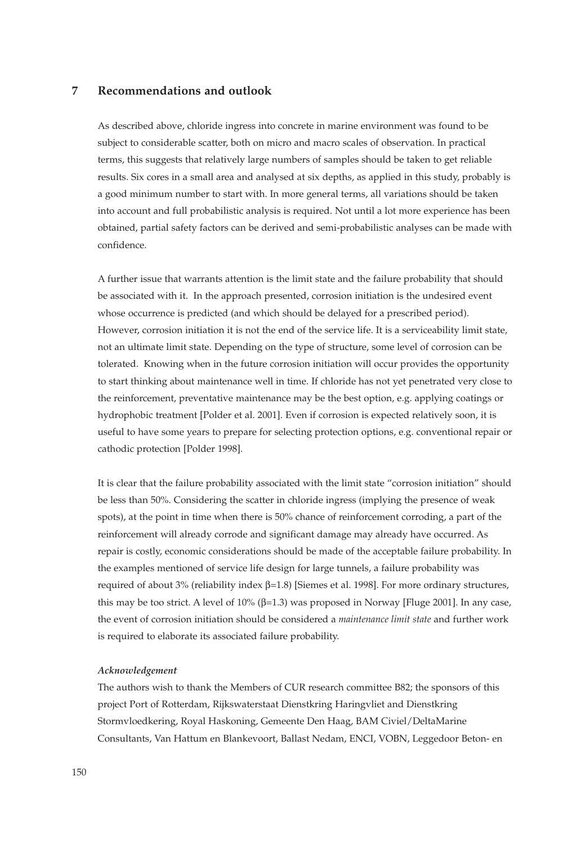## **7 Recommendations and outlook**

As described above, chloride ingress into concrete in marine environment was found to be subject to considerable scatter, both on micro and macro scales of observation. In practical terms, this suggests that relatively large numbers of samples should be taken to get reliable results. Six cores in a small area and analysed at six depths, as applied in this study, probably is a good minimum number to start with. In more general terms, all variations should be taken into account and full probabilistic analysis is required. Not until a lot more experience has been obtained, partial safety factors can be derived and semi-probabilistic analyses can be made with confidence.

A further issue that warrants attention is the limit state and the failure probability that should be associated with it. In the approach presented, corrosion initiation is the undesired event whose occurrence is predicted (and which should be delayed for a prescribed period). However, corrosion initiation it is not the end of the service life. It is a serviceability limit state, not an ultimate limit state. Depending on the type of structure, some level of corrosion can be tolerated. Knowing when in the future corrosion initiation will occur provides the opportunity to start thinking about maintenance well in time. If chloride has not yet penetrated very close to the reinforcement, preventative maintenance may be the best option, e.g. applying coatings or hydrophobic treatment [Polder et al. 2001]. Even if corrosion is expected relatively soon, it is useful to have some years to prepare for selecting protection options, e.g. conventional repair or cathodic protection [Polder 1998].

It is clear that the failure probability associated with the limit state "corrosion initiation" should be less than 50%. Considering the scatter in chloride ingress (implying the presence of weak spots), at the point in time when there is 50% chance of reinforcement corroding, a part of the reinforcement will already corrode and significant damage may already have occurred. As repair is costly, economic considerations should be made of the acceptable failure probability. In the examples mentioned of service life design for large tunnels, a failure probability was required of about 3% (reliability index β=1.8) [Siemes et al. 1998]. For more ordinary structures, this may be too strict. A level of  $10\%$  ( $\beta$ =1.3) was proposed in Norway [Fluge 2001]. In any case, the event of corrosion initiation should be considered a *maintenance limit state* and further work is required to elaborate its associated failure probability.

## *Acknowledgement*

The authors wish to thank the Members of CUR research committee B82; the sponsors of this project Port of Rotterdam, Rijkswaterstaat Dienstkring Haringvliet and Dienstkring Stormvloedkering, Royal Haskoning, Gemeente Den Haag, BAM Civiel/DeltaMarine Consultants, Van Hattum en Blankevoort, Ballast Nedam, ENCI, VOBN, Leggedoor Beton- en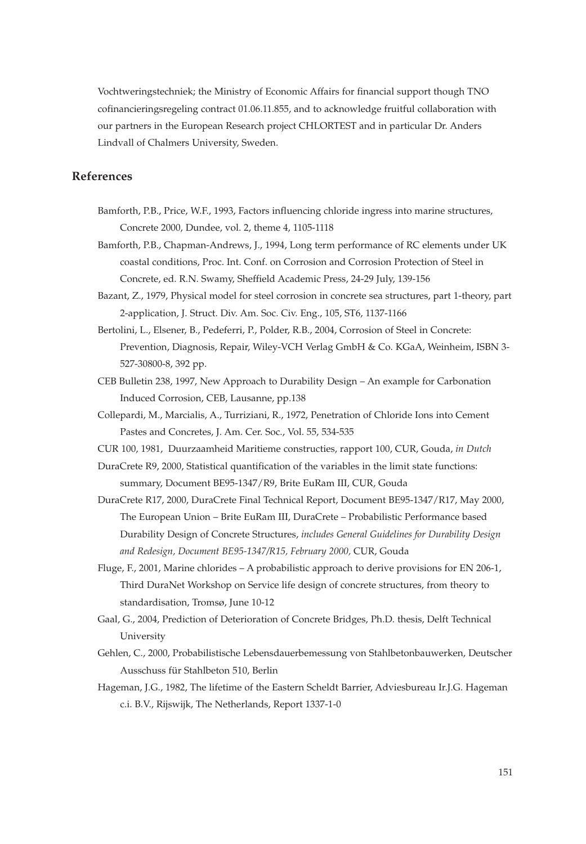Vochtweringstechniek; the Ministry of Economic Affairs for financial support though TNO cofinancieringsregeling contract 01.06.11.855, and to acknowledge fruitful collaboration with our partners in the European Research project CHLORTEST and in particular Dr. Anders Lindvall of Chalmers University, Sweden.

# **References**

- Bamforth, P.B., Price, W.F., 1993, Factors influencing chloride ingress into marine structures, Concrete 2000, Dundee, vol. 2, theme 4, 1105-1118
- Bamforth, P.B., Chapman-Andrews, J., 1994, Long term performance of RC elements under UK coastal conditions, Proc. Int. Conf. on Corrosion and Corrosion Protection of Steel in Concrete, ed. R.N. Swamy, Sheffield Academic Press, 24-29 July, 139-156
- Bazant, Z., 1979, Physical model for steel corrosion in concrete sea structures, part 1-theory, part 2-application, J. Struct. Div. Am. Soc. Civ. Eng., 105, ST6, 1137-1166
- Bertolini, L., Elsener, B., Pedeferri, P., Polder, R.B., 2004, Corrosion of Steel in Concrete: Prevention, Diagnosis, Repair, Wiley-VCH Verlag GmbH & Co. KGaA, Weinheim, ISBN 3- 527-30800-8, 392 pp.
- CEB Bulletin 238, 1997, New Approach to Durability Design An example for Carbonation Induced Corrosion, CEB, Lausanne, pp.138
- Collepardi, M., Marcialis, A., Turriziani, R., 1972, Penetration of Chloride Ions into Cement Pastes and Concretes, J. Am. Cer. Soc., Vol. 55, 534-535
- CUR 100, 1981, Duurzaamheid Maritieme constructies, rapport 100, CUR, Gouda, *in Dutch*
- DuraCrete R9, 2000, Statistical quantification of the variables in the limit state functions: summary, Document BE95-1347/R9, Brite EuRam III, CUR, Gouda
- DuraCrete R17, 2000, DuraCrete Final Technical Report, Document BE95-1347/R17, May 2000, The European Union – Brite EuRam III, DuraCrete – Probabilistic Performance based Durability Design of Concrete Structures, *includes General Guidelines for Durability Design and Redesign, Document BE95-1347/R15, February 2000,* CUR, Gouda
- Fluge, F., 2001, Marine chlorides A probabilistic approach to derive provisions for EN 206-1, Third DuraNet Workshop on Service life design of concrete structures, from theory to standardisation, Tromsø, June 10-12
- Gaal, G., 2004, Prediction of Deterioration of Concrete Bridges, Ph.D. thesis, Delft Technical University
- Gehlen, C., 2000, Probabilistische Lebensdauerbemessung von Stahlbetonbauwerken, Deutscher Ausschuss für Stahlbeton 510, Berlin
- Hageman, J.G., 1982, The lifetime of the Eastern Scheldt Barrier, Adviesbureau Ir.J.G. Hageman c.i. B.V., Rijswijk, The Netherlands, Report 1337-1-0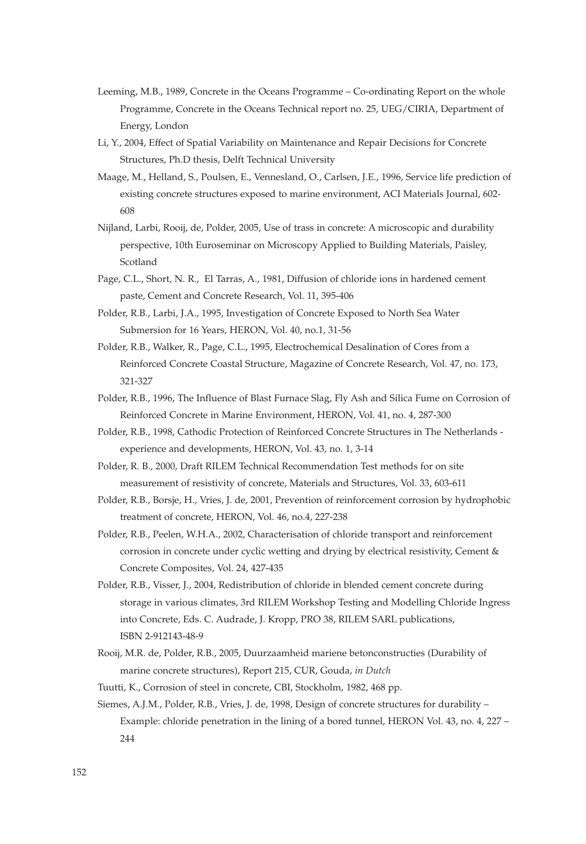- Leeming, M.B., 1989, Concrete in the Oceans Programme Co-ordinating Report on the whole Programme, Concrete in the Oceans Technical report no. 25, UEG/CIRIA, Department of Energy, London
- Li, Y., 2004, Effect of Spatial Variability on Maintenance and Repair Decisions for Concrete Structures, Ph.D thesis, Delft Technical University
- Maage, M., Helland, S., Poulsen, E., Vennesland, O., Carlsen, J.E., 1996, Service life prediction of existing concrete structures exposed to marine environment, ACI Materials Journal, 602- 608
- Nijland, Larbi, Rooij, de, Polder, 2005, Use of trass in concrete: A microscopic and durability perspective, 10th Euroseminar on Microscopy Applied to Building Materials, Paisley, Scotland
- Page, C.L., Short, N. R., El Tarras, A., 1981, Diffusion of chloride ions in hardened cement paste, Cement and Concrete Research, Vol. 11, 395-406
- Polder, R.B., Larbi, J.A., 1995, Investigation of Concrete Exposed to North Sea Water Submersion for 16 Years, HERON, Vol. 40, no.1, 31-56
- Polder, R.B., Walker, R., Page, C.L., 1995, Electrochemical Desalination of Cores from a Reinforced Concrete Coastal Structure, Magazine of Concrete Research, Vol. 47, no. 173, 321-327
- Polder, R.B., 1996, The Influence of Blast Furnace Slag, Fly Ash and Silica Fume on Corrosion of Reinforced Concrete in Marine Environment, HERON, Vol. 41, no. 4, 287-300
- Polder, R.B., 1998, Cathodic Protection of Reinforced Concrete Structures in The Netherlands experience and developments, HERON, Vol. 43, no. 1, 3-14
- Polder, R. B., 2000, Draft RILEM Technical Recommendation Test methods for on site measurement of resistivity of concrete, Materials and Structures, Vol. 33, 603-611
- Polder, R.B., Borsje, H., Vries, J. de, 2001, Prevention of reinforcement corrosion by hydrophobic treatment of concrete, HERON, Vol. 46, no.4, 227-238
- Polder, R.B., Peelen, W.H.A., 2002, Characterisation of chloride transport and reinforcement corrosion in concrete under cyclic wetting and drying by electrical resistivity, Cement & Concrete Composites, Vol. 24, 427-435
- Polder, R.B., Visser, J., 2004, Redistribution of chloride in blended cement concrete during storage in various climates, 3rd RILEM Workshop Testing and Modelling Chloride Ingress into Concrete, Eds. C. Audrade, J. Kropp, PRO 38, RILEM SARL publications, ISBN 2-912143-48-9
- Rooij, M.R. de, Polder, R.B., 2005, Duurzaamheid mariene betonconstructies (Durability of marine concrete structures), Report 215, CUR, Gouda, *in Dutch*
- Tuutti, K., Corrosion of steel in concrete, CBI, Stockholm, 1982, 468 pp.
- Siemes, A.J.M., Polder, R.B., Vries, J. de, 1998, Design of concrete structures for durability Example: chloride penetration in the lining of a bored tunnel, HERON Vol. 43, no. 4, 227 – 244